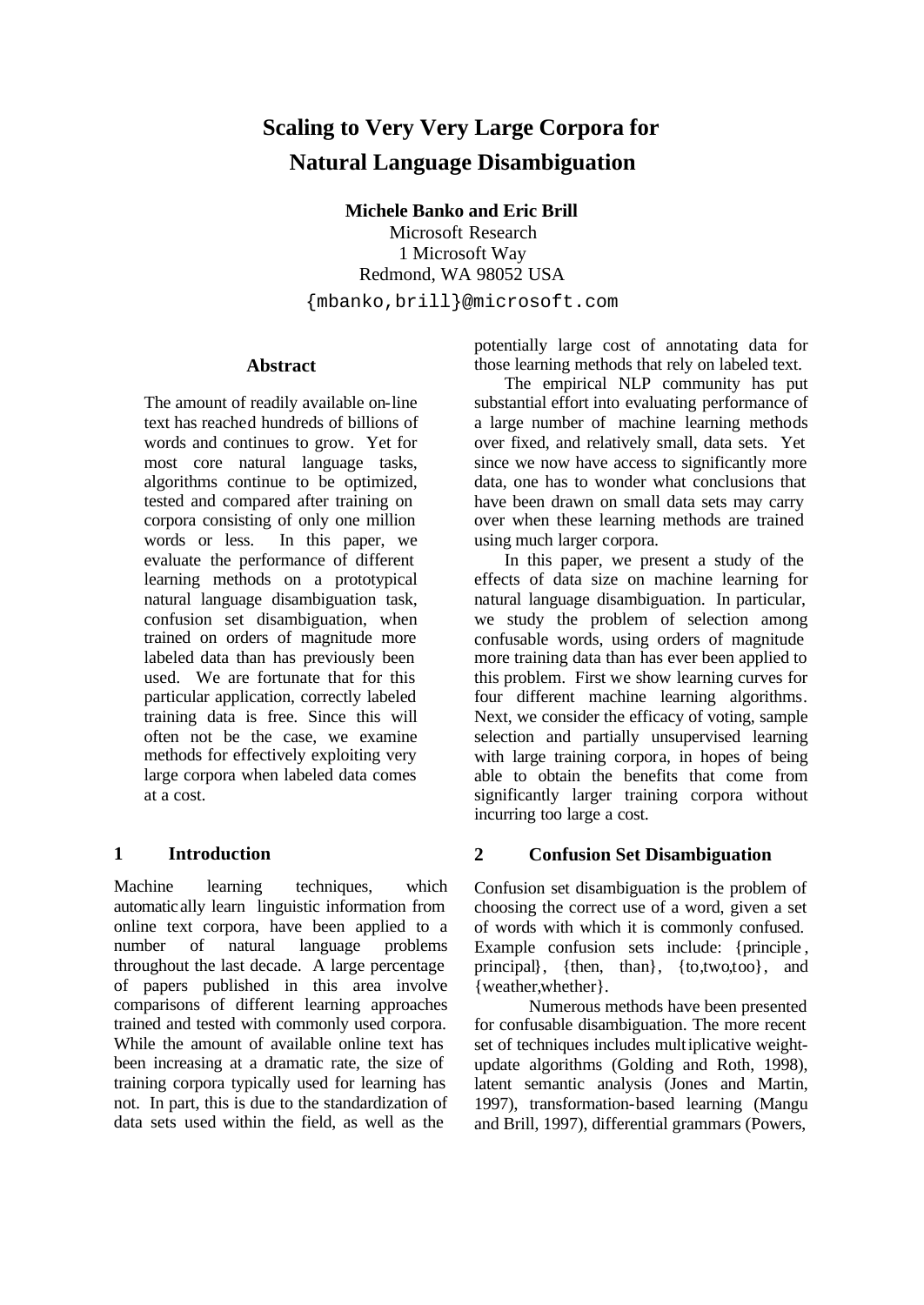# **Scaling to Very Very Large Corpora for Natural Language Disambiguation**

**Michele Banko and Eric Brill**

Microsoft Research 1 Microsoft Way Redmond, WA 98052 USA {mbanko,brill}@microsoft.com

## **Abstract**

The amount of readily available on-line text has reached hundreds of billions of words and continues to grow. Yet for most core natural language tasks, algorithms continue to be optimized, tested and compared after training on corpora consisting of only one million words or less. In this paper, we evaluate the performance of different learning methods on a prototypical natural language disambiguation task, confusion set disambiguation, when trained on orders of magnitude more labeled data than has previously been used. We are fortunate that for this particular application, correctly labeled training data is free. Since this will often not be the case, we examine methods for effectively exploiting very large corpora when labeled data comes at a cost.

# **1 Introduction**

Machine learning techniques, which automatically learn linguistic information from online text corpora, have been applied to a number of natural language problems throughout the last decade. A large percentage of papers published in this area involve comparisons of different learning approaches trained and tested with commonly used corpora. While the amount of available online text has been increasing at a dramatic rate, the size of training corpora typically used for learning has not. In part, this is due to the standardization of data sets used within the field, as well as the

potentially large cost of annotating data for those learning methods that rely on labeled text.

The empirical NLP community has put substantial effort into evaluating performance of a large number of machine learning methods over fixed, and relatively small, data sets. Yet since we now have access to significantly more data, one has to wonder what conclusions that have been drawn on small data sets may carry over when these learning methods are trained using much larger corpora.

In this paper, we present a study of the effects of data size on machine learning for natural language disambiguation. In particular, we study the problem of selection among confusable words, using orders of magnitude more training data than has ever been applied to this problem. First we show learning curves for four different machine learning algorithms. Next, we consider the efficacy of voting, sample selection and partially unsupervised learning with large training corpora, in hopes of being able to obtain the benefits that come from significantly larger training corpora without incurring too large a cost.

# **2 Confusion Set Disambiguation**

Confusion set disambiguation is the problem of choosing the correct use of a word, given a set of words with which it is commonly confused. Example confusion sets include: {principle, principal}, {then, than}, {to,two,too}, and {weather,whether}.

Numerous methods have been presented for confusable disambiguation. The more recent set of techniques includes multiplicative weightupdate algorithms (Golding and Roth, 1998), latent semantic analysis (Jones and Martin, 1997), transformation-based learning (Mangu and Brill, 1997), differential grammars (Powers,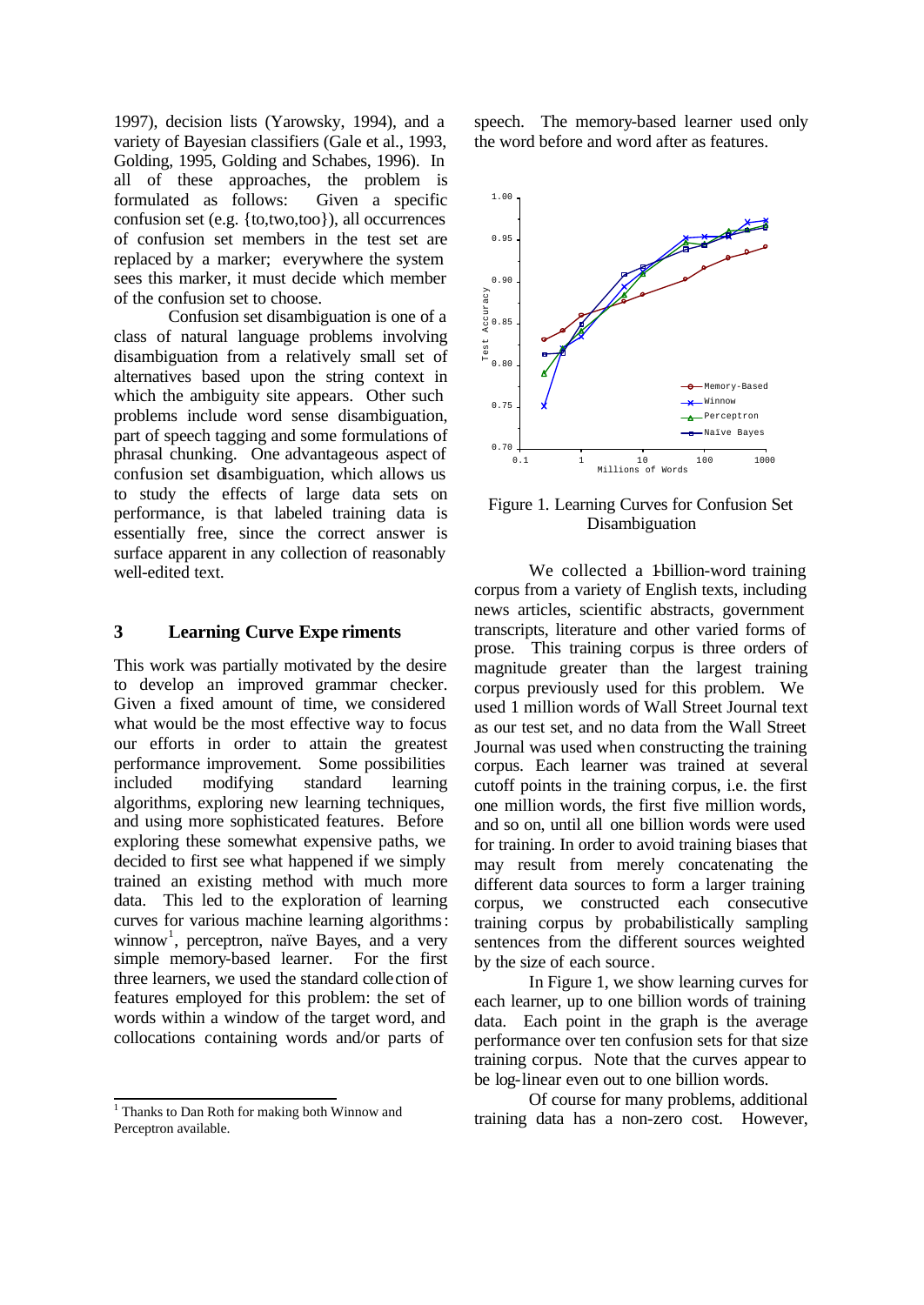1997), decision lists (Yarowsky, 1994), and a variety of Bayesian classifiers (Gale et al., 1993, Golding, 1995, Golding and Schabes, 1996). In all of these approaches, the problem is formulated as follows: Given a specific confusion set (e.g. {to,two,too}), all occurrences of confusion set members in the test set are replaced by a marker; everywhere the system sees this marker, it must decide which member of the confusion set to choose.

Confusion set disambiguation is one of a class of natural language problems involving disambiguation from a relatively small set of alternatives based upon the string context in which the ambiguity site appears. Other such problems include word sense disambiguation, part of speech tagging and some formulations of phrasal chunking. One advantageous aspect of confusion set disambiguation, which allows us to study the effects of large data sets on performance, is that labeled training data is essentially free, since the correct answer is surface apparent in any collection of reasonably well-edited text.

#### **3 Learning Curve Expe riments**

This work was partially motivated by the desire to develop an improved grammar checker. Given a fixed amount of time, we considered what would be the most effective way to focus our efforts in order to attain the greatest performance improvement. Some possibilities included modifying standard learning algorithms, exploring new learning techniques, and using more sophisticated features. Before exploring these somewhat expensive paths, we decided to first see what happened if we simply trained an existing method with much more data. This led to the exploration of learning curves for various machine learning algorithms: winnow<sup>1</sup>, perceptron, naïve Bayes, and a very simple memory-based learner. For the first three learners, we used the standard collection of features employed for this problem: the set of words within a window of the target word, and collocations containing words and/or parts of

 1 Thanks to Dan Roth for making both Winnow and Perceptron available.

speech. The memory-based learner used only the word before and word after as features.



Figure 1. Learning Curves for Confusion Set Disambiguation

We collected a 1-billion-word training corpus from a variety of English texts, including news articles, scientific abstracts, government transcripts, literature and other varied forms of prose. This training corpus is three orders of magnitude greater than the largest training corpus previously used for this problem. We used 1 million words of Wall Street Journal text as our test set, and no data from the Wall Street Journal was used when constructing the training corpus. Each learner was trained at several cutoff points in the training corpus, i.e. the first one million words, the first five million words, and so on, until all one billion words were used for training. In order to avoid training biases that may result from merely concatenating the different data sources to form a larger training corpus, we constructed each consecutive training corpus by probabilistically sampling sentences from the different sources weighted by the size of each source.

In Figure 1, we show learning curves for each learner, up to one billion words of training data. Each point in the graph is the average performance over ten confusion sets for that size training corpus. Note that the curves appear to be log-linear even out to one billion words.

Of course for many problems, additional training data has a non-zero cost. However,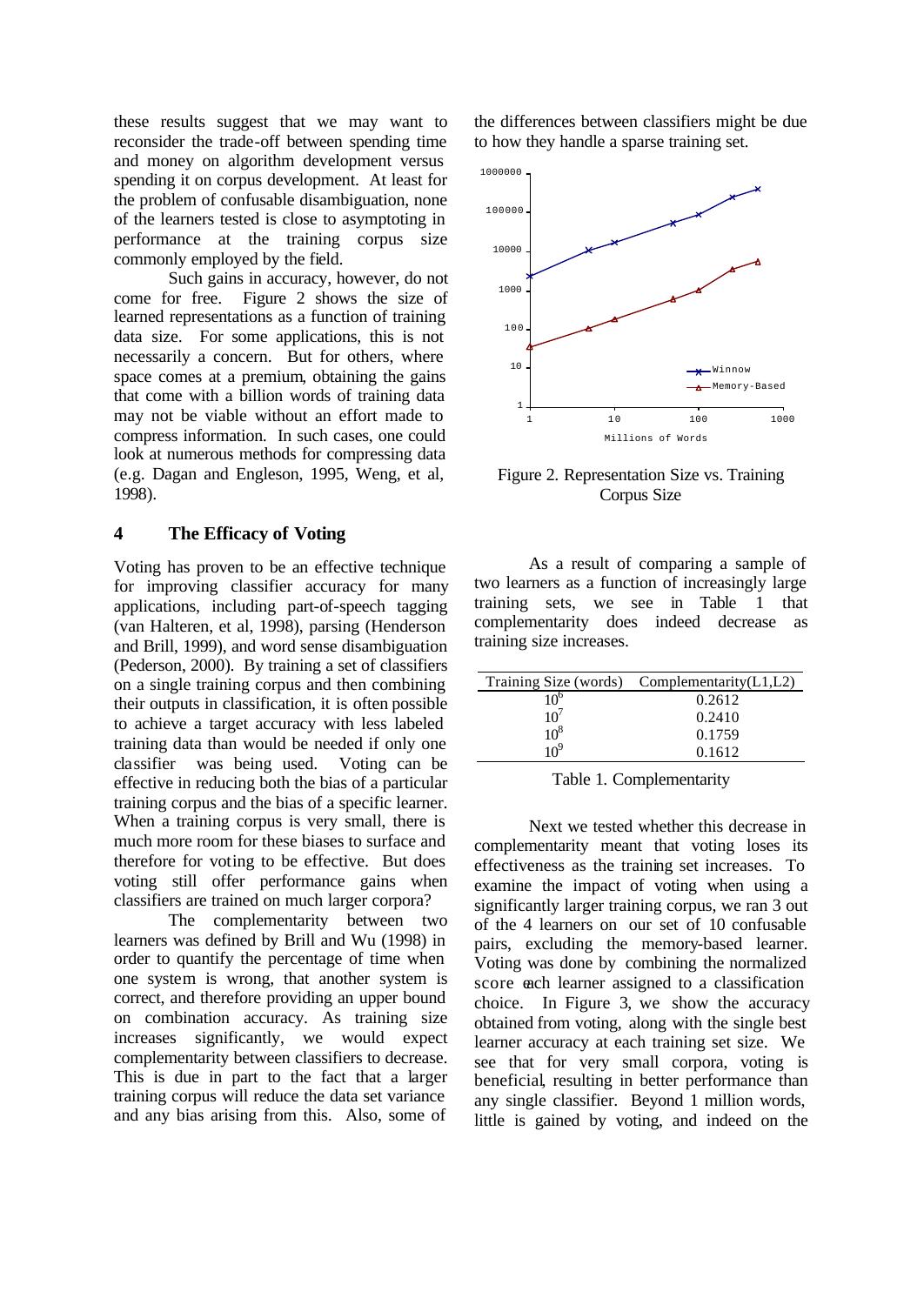these results suggest that we may want to reconsider the trade-off between spending time and money on algorithm development versus spending it on corpus development. At least for the problem of confusable disambiguation, none of the learners tested is close to asymptoting in performance at the training corpus size commonly employed by the field.

Such gains in accuracy, however, do not come for free. Figure 2 shows the size of learned representations as a function of training data size. For some applications, this is not necessarily a concern. But for others, where space comes at a premium, obtaining the gains that come with a billion words of training data may not be viable without an effort made to compress information. In such cases, one could look at numerous methods for compressing data (e.g. Dagan and Engleson, 1995, Weng, et al, 1998).

## **4 The Efficacy of Voting**

Voting has proven to be an effective technique for improving classifier accuracy for many applications, including part-of-speech tagging (van Halteren, et al, 1998), parsing (Henderson and Brill, 1999), and word sense disambiguation (Pederson, 2000). By training a set of classifiers on a single training corpus and then combining their outputs in classification, it is often possible to achieve a target accuracy with less labeled training data than would be needed if only one classifier was being used. Voting can be effective in reducing both the bias of a particular training corpus and the bias of a specific learner. When a training corpus is very small, there is much more room for these biases to surface and therefore for voting to be effective. But does voting still offer performance gains when classifiers are trained on much larger corpora?

The complementarity between two learners was defined by Brill and Wu (1998) in order to quantify the percentage of time when one system is wrong, that another system is correct, and therefore providing an upper bound on combination accuracy. As training size increases significantly, we would expect complementarity between classifiers to decrease. This is due in part to the fact that a larger training corpus will reduce the data set variance and any bias arising from this. Also, some of

the differences between classifiers might be due to how they handle a sparse training set.



Figure 2. Representation Size vs. Training Corpus Size

As a result of comparing a sample of two learners as a function of increasingly large training sets, we see in Table 1 that complementarity does indeed decrease as training size increases.

|        | Training Size (words) Complementarity $(L1, L2)$ |
|--------|--------------------------------------------------|
|        | 0.2612                                           |
| 10'    | 0.2410                                           |
| $10^8$ | 0.1759                                           |
| $10^9$ | 0.1612                                           |

Table 1. Complementarity

Next we tested whether this decrease in complementarity meant that voting loses its effectiveness as the training set increases. To examine the impact of voting when using a significantly larger training corpus, we ran 3 out of the 4 learners on our set of 10 confusable pairs, excluding the memory-based learner. Voting was done by combining the normalized score each learner assigned to a classification choice. In Figure 3, we show the accuracy obtained from voting, along with the single best learner accuracy at each training set size. We see that for very small corpora, voting is beneficial, resulting in better performance than any single classifier. Beyond 1 million words, little is gained by voting, and indeed on the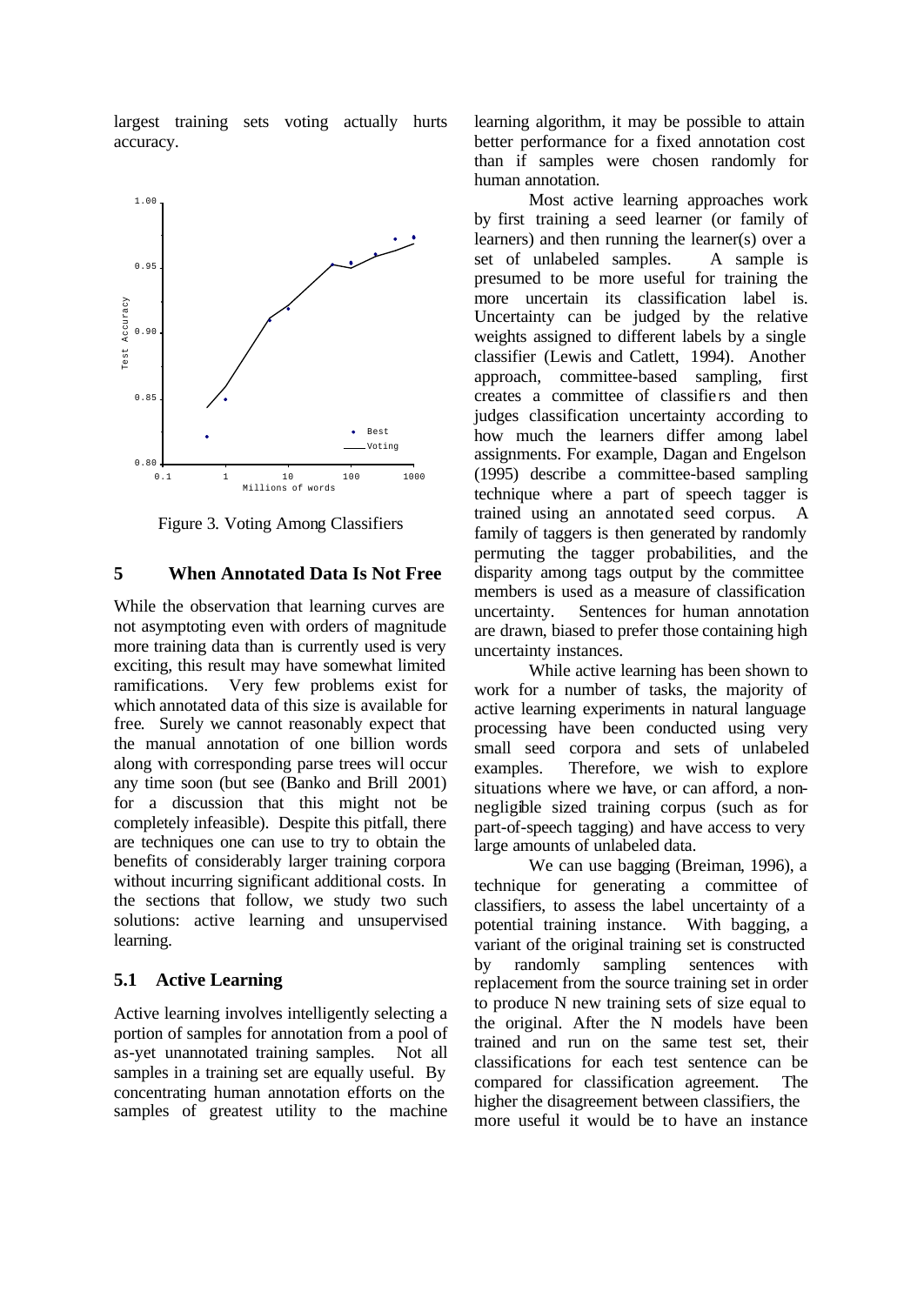largest training sets voting actually hurts accuracy.



Figure 3. Voting Among Classifiers

## **5 When Annotated Data Is Not Free**

While the observation that learning curves are not asymptoting even with orders of magnitude more training data than is currently used is very exciting, this result may have somewhat limited ramifications. Very few problems exist for which annotated data of this size is available for free. Surely we cannot reasonably expect that the manual annotation of one billion words along with corresponding parse trees will occur any time soon (but see (Banko and Brill 2001) for a discussion that this might not be completely infeasible). Despite this pitfall, there are techniques one can use to try to obtain the benefits of considerably larger training corpora without incurring significant additional costs. In the sections that follow, we study two such solutions: active learning and unsupervised learning.

## **5.1 Active Learning**

Active learning involves intelligently selecting a portion of samples for annotation from a pool of as-yet unannotated training samples. Not all samples in a training set are equally useful. By concentrating human annotation efforts on the samples of greatest utility to the machine learning algorithm, it may be possible to attain better performance for a fixed annotation cost than if samples were chosen randomly for human annotation.

Most active learning approaches work by first training a seed learner (or family of learners) and then running the learner(s) over a set of unlabeled samples. A sample is presumed to be more useful for training the more uncertain its classification label is. Uncertainty can be judged by the relative weights assigned to different labels by a single classifier (Lewis and Catlett, 1994). Another approach, committee-based sampling, first creates a committee of classifie rs and then judges classification uncertainty according to how much the learners differ among label assignments. For example, Dagan and Engelson (1995) describe a committee-based sampling technique where a part of speech tagger is trained using an annotated seed corpus. A family of taggers is then generated by randomly permuting the tagger probabilities, and the disparity among tags output by the committee members is used as a measure of classification uncertainty. Sentences for human annotation are drawn, biased to prefer those containing high uncertainty instances.

While active learning has been shown to work for a number of tasks, the majority of active learning experiments in natural language processing have been conducted using very small seed corpora and sets of unlabeled examples. Therefore, we wish to explore situations where we have, or can afford, a nonnegligible sized training corpus (such as for part-of-speech tagging) and have access to very large amounts of unlabeled data.

We can use bagging (Breiman, 1996), a technique for generating a committee of classifiers, to assess the label uncertainty of a potential training instance. With bagging, a variant of the original training set is constructed by randomly sampling sentences with replacement from the source training set in order to produce N new training sets of size equal to the original. After the N models have been trained and run on the same test set, their classifications for each test sentence can be compared for classification agreement. The higher the disagreement between classifiers, the more useful it would be to have an instance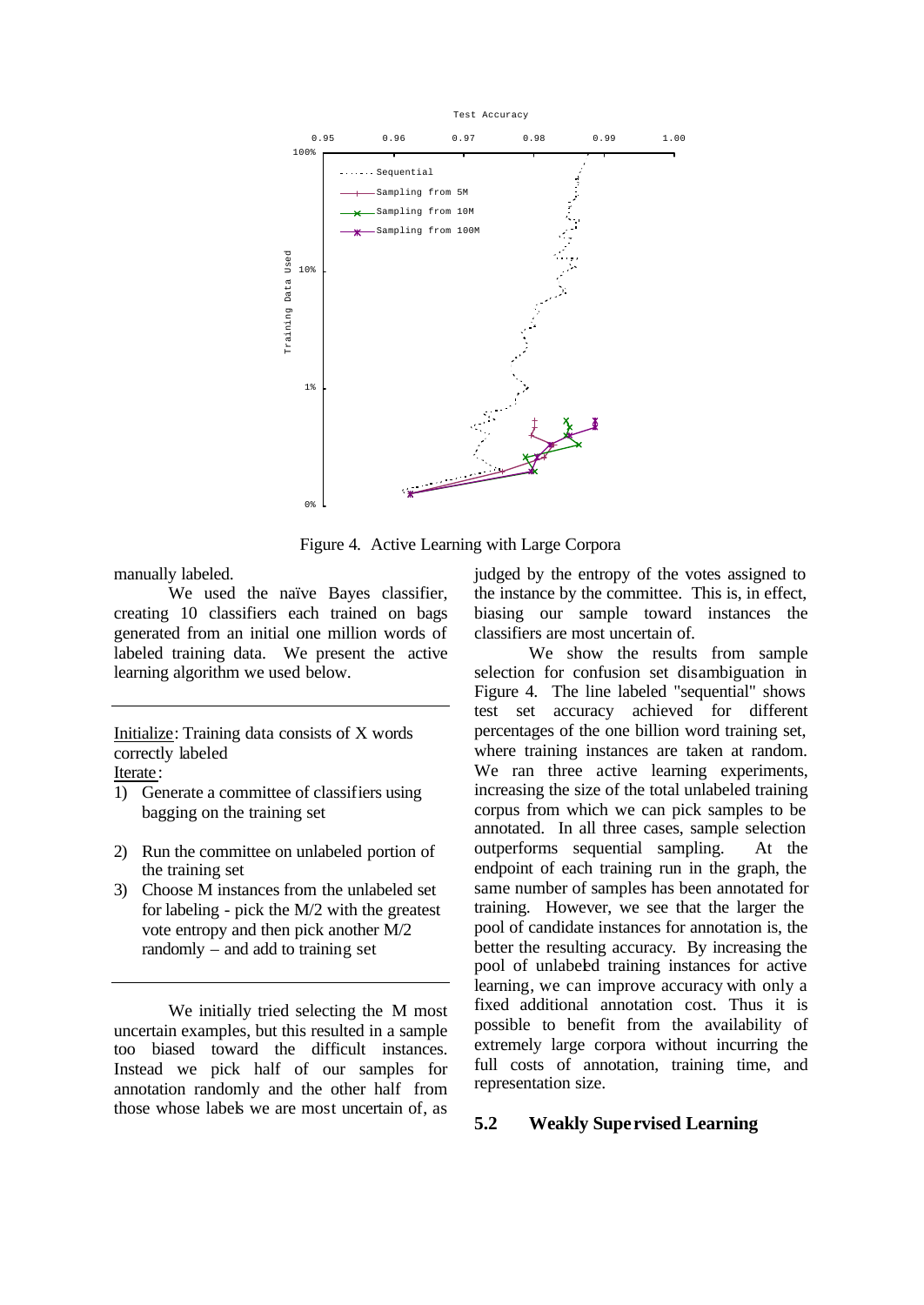

Figure 4. Active Learning with Large Corpora

manually labeled.

We used the naïve Bayes classifier, creating 10 classifiers each trained on bags generated from an initial one million words of labeled training data. We present the active learning algorithm we used below.

Initialize: Training data consists of X words correctly labeled

Iterate :

- 1) Generate a committee of classifiers using bagging on the training set
- 2) Run the committee on unlabeled portion of the training set
- 3) Choose M instances from the unlabeled set for labeling - pick the M/2 with the greatest vote entropy and then pick another M/2 randomly – and add to training set

We initially tried selecting the M most uncertain examples, but this resulted in a sample too biased toward the difficult instances. Instead we pick half of our samples for annotation randomly and the other half from those whose labels we are most uncertain of, as judged by the entropy of the votes assigned to the instance by the committee. This is, in effect, biasing our sample toward instances the classifiers are most uncertain of.

We show the results from sample selection for confusion set disambiguation in Figure 4. The line labeled "sequential" shows test set accuracy achieved for different percentages of the one billion word training set, where training instances are taken at random. We ran three active learning experiments, increasing the size of the total unlabeled training corpus from which we can pick samples to be annotated. In all three cases, sample selection outperforms sequential sampling. At the endpoint of each training run in the graph, the same number of samples has been annotated for training. However, we see that the larger the pool of candidate instances for annotation is, the better the resulting accuracy. By increasing the pool of unlabeled training instances for active learning, we can improve accuracy with only a fixed additional annotation cost. Thus it is possible to benefit from the availability of extremely large corpora without incurring the full costs of annotation, training time, and representation size.

## **5.2 Weakly Supervised Learning**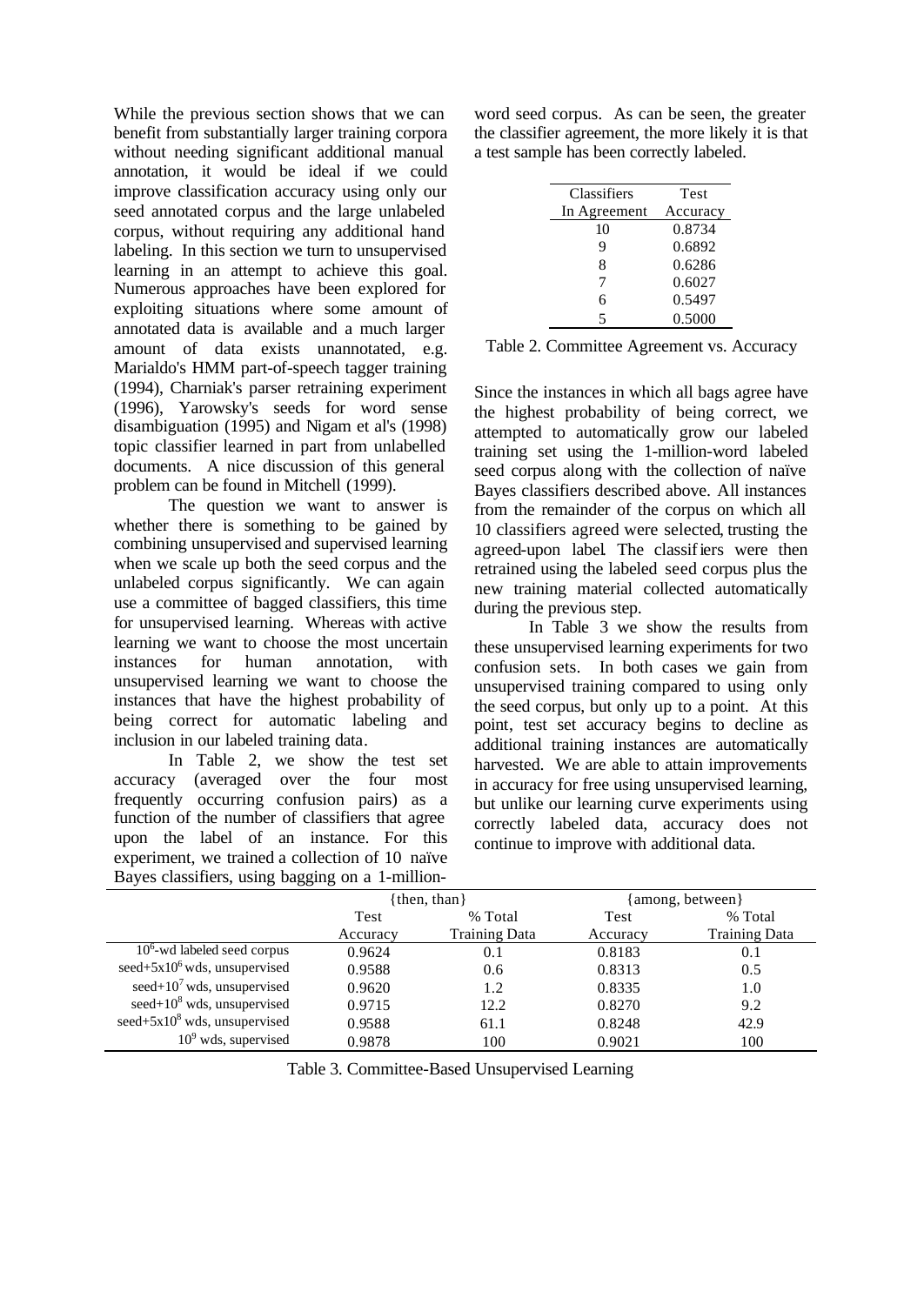While the previous section shows that we can benefit from substantially larger training corpora without needing significant additional manual annotation, it would be ideal if we could improve classification accuracy using only our seed annotated corpus and the large unlabeled corpus, without requiring any additional hand labeling. In this section we turn to unsupervised learning in an attempt to achieve this goal. Numerous approaches have been explored for exploiting situations where some amount of annotated data is available and a much larger amount of data exists unannotated, e.g. Marialdo's HMM part-of-speech tagger training (1994), Charniak's parser retraining experiment (1996), Yarowsky's seeds for word sense disambiguation (1995) and Nigam et al's (1998) topic classifier learned in part from unlabelled documents. A nice discussion of this general problem can be found in Mitchell (1999).

The question we want to answer is whether there is something to be gained by combining unsupervised and supervised learning when we scale up both the seed corpus and the unlabeled corpus significantly. We can again use a committee of bagged classifiers, this time for unsupervised learning. Whereas with active learning we want to choose the most uncertain instances for human annotation, with unsupervised learning we want to choose the instances that have the highest probability of being correct for automatic labeling and inclusion in our labeled training data.

In Table 2, we show the test set accuracy (averaged over the four most frequently occurring confusion pairs) as a function of the number of classifiers that agree upon the label of an instance. For this experiment, we trained a collection of 10 naïve Bayes classifiers, using bagging on a 1-millionword seed corpus. As can be seen, the greater the classifier agreement, the more likely it is that a test sample has been correctly labeled.

| Classifiers  | Test     |  |
|--------------|----------|--|
| In Agreement | Accuracy |  |
| 10           | 0.8734   |  |
| 9            | 0.6892   |  |
| 8            | 0.6286   |  |
| 7            | 0.6027   |  |
| 6            | 0.5497   |  |
| 5            | 0.5000   |  |
|              |          |  |

Table 2. Committee Agreement vs. Accuracy

Since the instances in which all bags agree have the highest probability of being correct, we attempted to automatically grow our labeled training set using the 1-million-word labeled seed corpus along with the collection of naïve Bayes classifiers described above. All instances from the remainder of the corpus on which all 10 classifiers agreed were selected, trusting the agreed-upon label. The classifiers were then retrained using the labeled seed corpus plus the new training material collected automatically during the previous step.

In Table 3 we show the results from these unsupervised learning experiments for two confusion sets. In both cases we gain from unsupervised training compared to using only the seed corpus, but only up to a point. At this point, test set accuracy begins to decline as additional training instances are automatically harvested. We are able to attain improvements in accuracy for free using unsupervised learning, but unlike our learning curve experiments using correctly labeled data, accuracy does not continue to improve with additional data.

| Dayes classifiers, using bagging on a 1-minum- |                    |                      |                  |                      |  |  |
|------------------------------------------------|--------------------|----------------------|------------------|----------------------|--|--|
|                                                | [then, than $\}$ ] |                      | {among, between} |                      |  |  |
|                                                | Test               | % Total              | Test             | % Total              |  |  |
|                                                | Accuracy           | <b>Training Data</b> | Accuracy         | <b>Training Data</b> |  |  |
| $106$ -wd labeled seed corpus                  | 0.9624             | 0.1                  | 0.8183           | 0.1                  |  |  |
| $seed+5x106$ wds, unsupervised                 | 0.9588             | 0.6                  | 0.8313           | 0.5                  |  |  |
| seed+ $10^7$ wds, unsupervised                 | 0.9620             | 1.2                  | 0.8335           | 1.0                  |  |  |
| seed+ $108$ wds, unsupervised                  | 0.9715             | 12.2                 | 0.8270           | 9.2                  |  |  |
| $seed + 5x108$ wds, unsupervised               | 0.9588             | 61.1                 | 0.8248           | 42.9                 |  |  |
| $109$ wds, supervised                          | 0.9878             | 100                  | 0.9021           | 100                  |  |  |

Table 3. Committee-Based Unsupervised Learning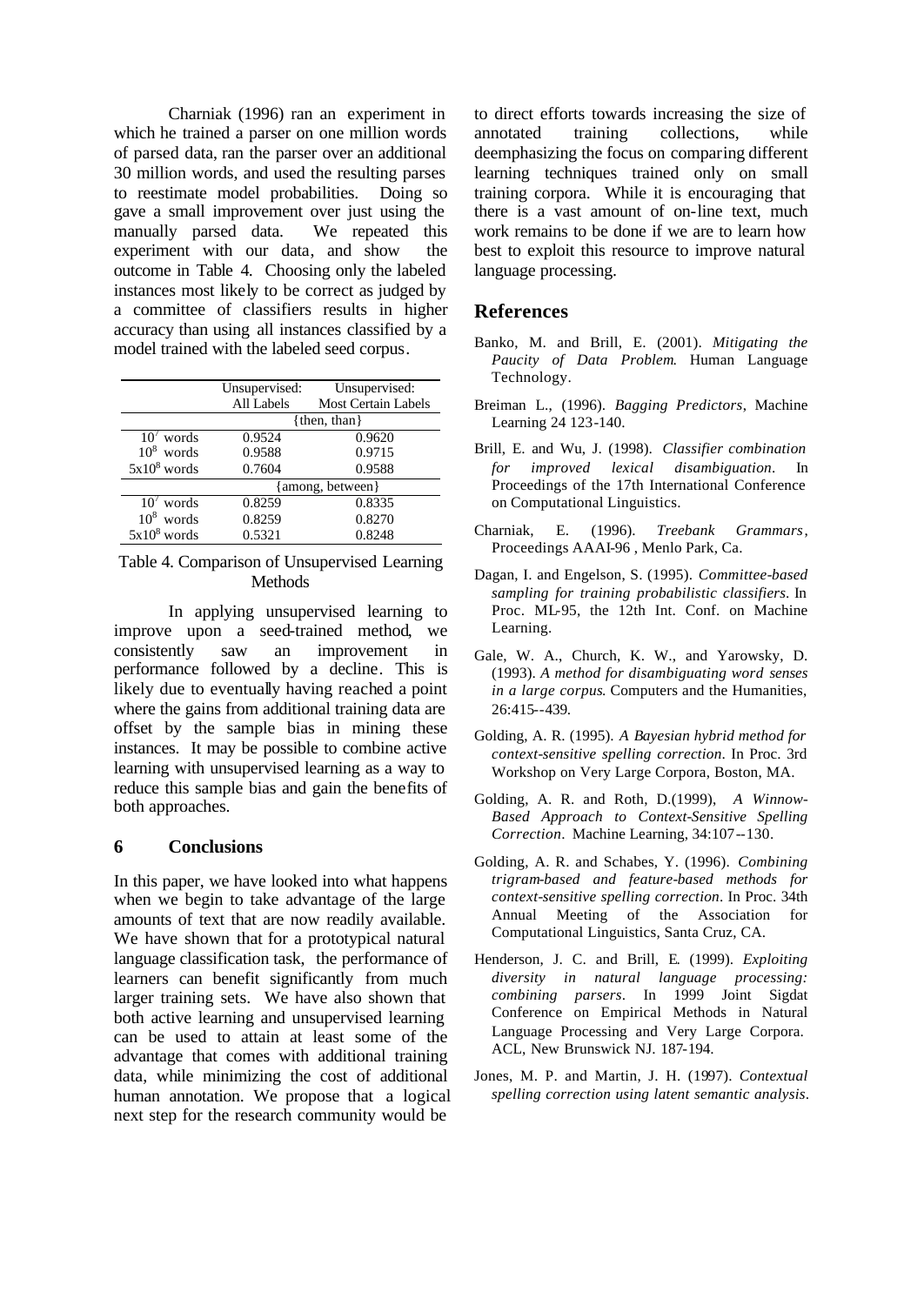Charniak (1996) ran an experiment in which he trained a parser on one million words of parsed data, ran the parser over an additional 30 million words, and used the resulting parses to reestimate model probabilities. Doing so gave a small improvement over just using the manually parsed data. We repeated this experiment with our data, and show the outcome in Table 4. Choosing only the labeled instances most likely to be correct as judged by a committee of classifiers results in higher accuracy than using all instances classified by a model trained with the labeled seed corpus.

|                | Unsupervised:    | Unsupervised:              |  |
|----------------|------------------|----------------------------|--|
|                | All Labels       | <b>Most Certain Labels</b> |  |
|                | {then, than}     |                            |  |
| $10'$ words    | 0.9524           | 0.9620                     |  |
| $10^8$ words   | 0.9588           | 0.9715                     |  |
| $5x108$ words  | 0.7604           | 0.9588                     |  |
|                | {among, between} |                            |  |
| $10'$ words    | 0.8259           | 0.8335                     |  |
| $10^8$ words   | 0.8259           | 0.8270                     |  |
| $5x10^8$ words | 0.5321           | 0.8248                     |  |

Table 4. Comparison of Unsupervised Learning Methods

In applying unsupervised learning to improve upon a seed-trained method, we consistently saw an improvement in performance followed by a decline. This is likely due to eventually having reached a point where the gains from additional training data are offset by the sample bias in mining these instances. It may be possible to combine active learning with unsupervised learning as a way to reduce this sample bias and gain the benefits of both approaches.

#### **6 Conclusions**

In this paper, we have looked into what happens when we begin to take advantage of the large amounts of text that are now readily available. We have shown that for a prototypical natural language classification task, the performance of learners can benefit significantly from much larger training sets. We have also shown that both active learning and unsupervised learning can be used to attain at least some of the advantage that comes with additional training data, while minimizing the cost of additional human annotation. We propose that a logical next step for the research community would be

to direct efforts towards increasing the size of annotated training collections, while deemphasizing the focus on comparing different learning techniques trained only on small training corpora. While it is encouraging that there is a vast amount of on-line text, much work remains to be done if we are to learn how best to exploit this resource to improve natural language processing.

## **References**

- Banko, M. and Brill, E. (2001). *Mitigating the Paucity of Data Problem*. Human Language Technology.
- Breiman L., (1996). *Bagging Predictors*, Machine Learning 24 123-140.
- Brill, E. and Wu, J. (1998). *Classifier combination for improved lexical disambiguation*. In Proceedings of the 17th International Conference on Computational Linguistics.
- Charniak, E. (1996). *Treebank Grammars*, Proceedings AAAI-96 , Menlo Park, Ca.
- Dagan, I. and Engelson, S. (1995). *Committee-based sampling for training probabilistic classifiers*. In Proc. ML-95, the 12th Int. Conf. on Machine Learning.
- Gale, W. A., Church, K. W., and Yarowsky, D. (1993). *A method for disambiguating word senses in a large corpus*. Computers and the Humanities, 26:415--439.
- Golding, A. R. (1995). *A Bayesian hybrid method for context-sensitive spelling correction*. In Proc. 3rd Workshop on Very Large Corpora, Boston, MA.
- Golding, A. R. and Roth, D.(1999), *A Winnow-Based Approach to Context-Sensitive Spelling Correction*. Machine Learning, 34:107--130.
- Golding, A. R. and Schabes, Y. (1996). *Combining trigram-based and feature-based methods for context-sensitive spelling correction*. In Proc. 34th Annual Meeting of the Association for Computational Linguistics, Santa Cruz, CA.
- Henderson, J. C. and Brill, E. (1999). *Exploiting diversity in natural language processing: combining parsers*. In 1999 Joint Sigdat Conference on Empirical Methods in Natural Language Processing and Very Large Corpora. ACL, New Brunswick NJ. 187-194.
- Jones, M. P. and Martin, J. H. (1997). *Contextual spelling correction using latent semantic analysis*.